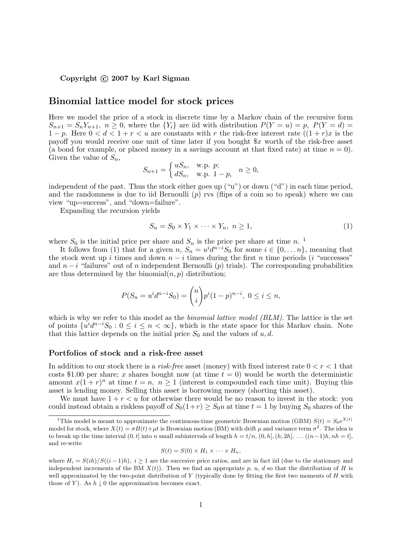# Copyright  $\odot$  2007 by Karl Sigman

# Binomial lattice model for stock prices

Here we model the price of a stock in discrete time by a Markov chain of the recursive form  $S_{n+1} = S_n Y_{n+1}, n \geq 0$ , where the  $\{Y_i\}$  are iid with distribution  $P(Y = u) = p$ ,  $P(Y = d) =$ 1 − p. Here  $0 < d < 1 + r < u$  are constants with r the risk-free interest rate  $((1 + r)x)$  is the payoff you would receive one unit of time later if you bought \$x worth of the risk-free asset (a bond for example, or placed money in a savings account at that fixed rate) at time  $n = 0$ . Given the value of  $S_n$ ,

$$
S_{n+1} = \begin{cases} uS_n, & \text{w.p. } p; \\ dS_n, & \text{w.p. } 1-p, \end{cases} \quad n \ge 0,
$$

independent of the past. Thus the stock either goes up ("u") or down ("d") in each time period, and the randomness is due to iid Bernoulli  $(p)$  rvs (flips of a coin so to speak) where we can view "up=success", and "down=failure".

Expanding the recursion yields

$$
S_n = S_0 \times Y_1 \times \dots \times Y_n, \ n \ge 1,\tag{1}
$$

where  $S_0$  is the initial price per share and  $S_n$  is the price per share at time n.<sup>1</sup>

It follows from (1) that for a given  $n, S_n = u^i d^{n-i} S_0$  for some  $i \in \{0, ..., n\}$ , meaning that the stock went up i times and down  $n - i$  times during the first n time periods (i "successes" and  $n-i$  "failures" out of n independent Bernoulli (p) trials). The corresponding probabilities are thus determined by the binomial $(n, p)$  distribution;

$$
P(S_n = u^i d^{n-i} S_0) = \binom{n}{i} p^i (1-p)^{n-i}, \ 0 \le i \le n,
$$

which is why we refer to this model as the *binomial lattice model (BLM)*. The lattice is the set of points  $\{u^{i}d^{n-i}S_0: 0 \leq i \leq n < \infty\}$ , which is the state space for this Markov chain. Note that this lattice depends on the initial price  $S_0$  and the values of  $u, d$ .

### Portfolios of stock and a risk-free asset

In addition to our stock there is a *risk-free* asset (money) with fixed interest rate  $0 < r < 1$  that costs \$1.00 per share; x shares bought now (at time  $t = 0$ ) would be worth the deterministic amount  $x(1+r)^n$  at time  $t = n, n \ge 1$  (interest is compounded each time unit). Buying this asset is lending money. Selling this asset is borrowing money (shorting this asset).

We must have  $1 + r < u$  for otherwise there would be no reason to invest in the stock: you could instead obtain a riskless payoff of  $S_0(1+r) \geq S_0u$  at time  $t = 1$  by buying  $S_0$  shares of the

$$
S(t) = S(0) \times H_1 \times \cdots \times H_n,
$$

<sup>&</sup>lt;sup>1</sup>This model is meant to approximate the continuous-time geometric Brownian motion (GBM)  $S(t) = S_0e^{X(t)}$ model for stock, where  $X(t) = \sigma B(t) + \mu t$  is Brownian motion (BM) with drift  $\mu$  and variance term  $\sigma^2$ . The idea is to break up the time interval  $(0, t]$  into n small subintervals of length  $h = t/n$ ,  $(0, h]$ ,  $(h, 2h]$ , ... $((n-1)h, nh = t]$ , and re-write

where  $H_i = S(ih)/S((i-1)h)$ ,  $i \geq 1$  are the successive price ratios, and are in fact iid (due to the stationary and independent increments of the BM  $X(t)$ ). Then we find an appropriate p, u, d so that the distribution of H is well approximated by the two-point distribution of  $Y$  (typically done by fitting the first two moments of  $H$  with those of Y). As  $h \downarrow 0$  the approximation becomes exact.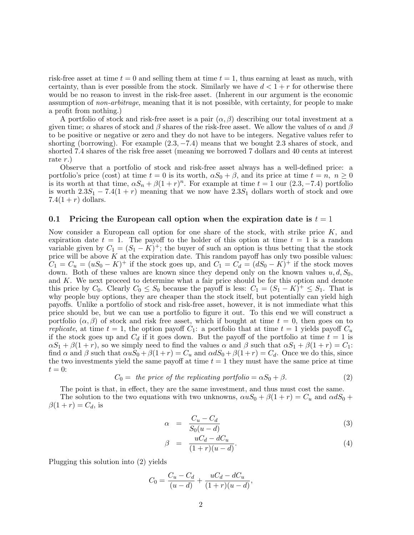risk-free asset at time  $t = 0$  and selling them at time  $t = 1$ , thus earning at least as much, with certainty, than is ever possible from the stock. Similarly we have  $d < 1+r$  for otherwise there would be no reason to invest in the risk-free asset. (Inherent in our argument is the economic assumption of non-arbitrage, meaning that it is not possible, with certainty, for people to make a profit from nothing.)

A portfolio of stock and risk-free asset is a pair  $(\alpha, \beta)$  describing our total investment at a given time;  $\alpha$  shares of stock and  $\beta$  shares of the risk-free asset. We allow the values of  $\alpha$  and  $\beta$ to be positive or negative or zero and they do not have to be integers. Negative values refer to shorting (borrowing). For example  $(2.3, -7.4)$  means that we bought 2.3 shares of stock, and shorted 7.4 shares of the risk free asset (meaning we borrowed 7 dollars and 40 cents at interest rate  $r$ .)

Observe that a portfolio of stock and risk-free asset always has a well-defined price: a portfolio's price (cost) at time  $t = 0$  is its worth,  $\alpha S_0 + \beta$ , and its price at time  $t = n$ ,  $n \ge 0$ is its worth at that time,  $\alpha S_n + \beta (1+r)^n$ . For example at time  $t = 1$  our  $(2.3, -7.4)$  portfolio is worth  $2.3S_1 - 7.4(1+r)$  meaning that we now have  $2.3S_1$  dollars worth of stock and owe 7.4 $(1 + r)$  dollars.

### 0.1 Pricing the European call option when the expiration date is  $t = 1$

Now consider a European call option for one share of the stock, with strike price K, and expiration date  $t = 1$ . The payoff to the holder of this option at time  $t = 1$  is a random variable given by  $C_1 = (S_1 - K)^+$ ; the buyer of such an option is thus betting that the stock price will be above  $K$  at the expiration date. This random payoff has only two possible values:  $C_1 = C_u = (uS_0 - K)^+$  if the stock goes up, and  $C_1 = C_d = (dS_0 - K)^+$  if the stock moves down. Both of these values are known since they depend only on the known values  $u, d, S_0$ , and K. We next proceed to determine what a fair price should be for this option and denote this price by  $C_0$ . Clearly  $C_0 \leq S_0$  because the payoff is less:  $C_1 = (S_1 - K)^+ \leq S_1$ . That is why people buy options, they are cheaper than the stock itself, but potentially can yield high payoffs. Unlike a portfolio of stock and risk-free asset, however, it is not immediate what this price should be, but we can use a portfolio to figure it out. To this end we will construct a portfolio  $(\alpha, \beta)$  of stock and risk free asset, which if bought at time  $t = 0$ , then goes on to replicate, at time  $t = 1$ , the option payoff  $C_1$ : a portfolio that at time  $t = 1$  yields payoff  $C_u$ if the stock goes up and  $C_d$  if it goes down. But the payoff of the portfolio at time  $t = 1$  is  $\alpha S_1 + \beta(1+r)$ , so we simply need to find the values  $\alpha$  and  $\beta$  such that  $\alpha S_1 + \beta(1+r) = C_1$ : find  $\alpha$  and  $\beta$  such that  $\alpha uS_0 + \beta(1+r) = C_u$  and  $\alpha dS_0 + \beta(1+r) = C_d$ . Once we do this, since the two investments yield the same payoff at time  $t = 1$  they must have the same price at time  $t=0$ :

$$
C_0 = the price of the replicating portfolio = \alpha S_0 + \beta.
$$
 (2)

The point is that, in effect, they are the same investment, and thus must cost the same. The solution to the two equations with two unknowns,  $\alpha u S_0 + \beta (1 + r) = C_u$  and  $\alpha dS_0 +$  $\beta(1 + r) = C_d$ , is

$$
\alpha = \frac{C_u - C_d}{S_0(u - d)} \tag{3}
$$

$$
\beta = \frac{uC_d - dC_u}{(1+r)(u-d)}.\tag{4}
$$

Plugging this solution into (2) yields

$$
C_0 = \frac{C_u - C_d}{(u - d)} + \frac{uC_d - dC_u}{(1 + r)(u - d)},
$$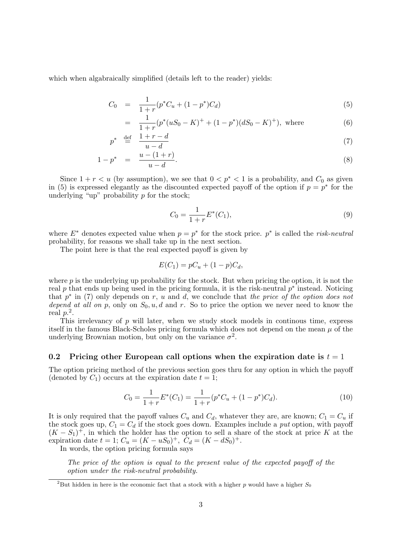which when algabraically simplified (details left to the reader) yields:

$$
C_0 = \frac{1}{1+r} (p^* C_u + (1-p^*) C_d) \tag{5}
$$

$$
= \frac{1}{1+r}(p^*(uS_0 - K)^+ + (1 - p^*)(dS_0 - K)^+), \text{ where}
$$
\n(6)

$$
p^* \stackrel{\text{def}}{=} \frac{1+r-d}{u-d} \tag{7}
$$

$$
1 - p^* = \frac{u - (1+r)}{u - d}.
$$
\n(8)

Since  $1 + r < u$  (by assumption), we see that  $0 < p^* < 1$  is a probability, and  $C_0$  as given in (5) is expressed elegantly as the discounted expected payoff of the option if  $p = p^*$  for the underlying "up" probability  $p$  for the stock;

$$
C_0 = \frac{1}{1+r} E^*(C_1),\tag{9}
$$

where  $E^*$  denotes expected value when  $p = p^*$  for the stock price.  $p^*$  is called the *risk-neutral* probability, for reasons we shall take up in the next section.

The point here is that the real expected payoff is given by

$$
E(C_1) = pC_u + (1 - p)C_d,
$$

where  $p$  is the underlying up probability for the stock. But when pricing the option, it is not the real p that ends up being used in the pricing formula, it is the risk-neutral  $p^*$  instead. Noticing that  $p^*$  in (7) only depends on r, u and d, we conclude that the price of the option does not depend at all on p, only on  $S_0, u, d$  and r. So to price the option we never need to know the real  $p^2$ .

This irrelevancy of p will later, when we study stock models in continous time, express itself in the famous Black-Scholes pricing formula which does not depend on the mean  $\mu$  of the underlying Brownian motion, but only on the variance  $\sigma^2$ .

### 0.2 Pricing other European call options when the expiration date is  $t = 1$

The option pricing method of the previous section goes thru for any option in which the payoff (denoted by  $C_1$ ) occurs at the expiration date  $t = 1$ ;

$$
C_0 = \frac{1}{1+r} E^*(C_1) = \frac{1}{1+r} (p^* C_u + (1-p^*) C_d). \tag{10}
$$

It is only required that the payoff values  $C_u$  and  $C_d$ , whatever they are, are known;  $C_1 = C_u$  if the stock goes up,  $C_1 = C_d$  if the stock goes down. Examples include a put option, with payoff  $(K - S_1)^+$ , in which the holder has the option to sell a share of the stock at price K at the expiration date  $t = 1$ ;  $C_u = (K - uS_0)^+$ ,  $C_d = (K - dS_0)^+$ .

In words, the option pricing formula says

The price of the option is equal to the present value of the expected payoff of the option under the risk-neutral probability.

<sup>&</sup>lt;sup>2</sup>But hidden in here is the economic fact that a stock with a higher p would have a higher  $S_0$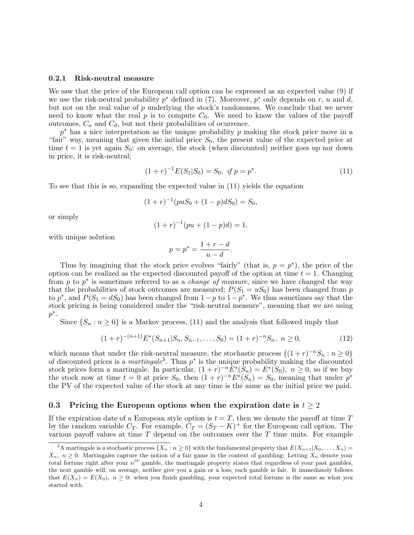#### 0.2.1 Risk-neutral measure

We saw that the price of the European call option can be expressed as an expected value (9) if we use the risk-neutral probability  $p^*$  defined in (7). Moreover,  $p^*$  only depends on r, u and d, but not on the real value of  $p$  underlying the stock's randomness. We conclude that we never need to know what the real  $p$  is to compute  $C_0$ . We need to know the values of the payoff outcomes,  $C_u$  and  $C_d$ , but not their probabilities of ocurrence.

 $p^*$  has a nice interpretation as the unique probability p making the stock price move in a "fair" way, meaning that given the initial price  $S_0$ , the present value of the expected price at time  $t = 1$  is yet again  $S_0$ : on average, the stock (when discounted) neither goes up nor down in price, it is risk-neutral;

$$
(1+r)^{-1}E(S_1|S_0) = S_0, \text{ if } p = p^*.
$$
\n(11)

To see that this is so, expanding the expected value in (11) yields the equation

$$
(1+r)^{-1}(puS_0 + (1-p)dS_0) = S_0,
$$

or simply

$$
(1+r)^{-1}(pu + (1-p)d) = 1,
$$

with unique solution

$$
p = p^* = \frac{1 + r - d}{u - d}.
$$

Thus by imagining that the stock price evolves "fairly" (that is,  $p = p^*$ ), the price of the option can be realized as the expected discounted payoff of the option at time  $t = 1$ . Changing from p to  $p^*$  is sometimes referred to as a *change of measure*, since we have changed the way that the probabilities of stock outcomes are measured;  $P(S_1 = uS_0)$  has been changed from p to  $p^*$ , and  $P(S_1 = dS_0)$  has been changed from  $1-p$  to  $1-p^*$ . We thus sometimes say that the stock pricing is being considered under the "risk-neutral measure", meaning that we are using  $p^*$ .

Since  $\{S_n : n \geq 0\}$  is a Markov process, (11) and the analysis that followed imply that

$$
(1+r)^{-(n+1)}E^*(S_{n+1}|S_n, S_{n-1}, \dots, S_0) = (1+r)^{-n}S_n, \ n \ge 0,
$$
\n(12)

which means that under the risk-neutral measure, the stochastic process  $\{(1+r)^{-n}S_n : n \geq 0\}$ of discounted prices is a *martingale*<sup>3</sup>. Thus  $p^*$  is the unique probability making the discounted stock prices form a martingale. In particular,  $(1+r)^{-n}E^*(\tilde{S}_n) = E^*(S_0)$ ,  $n \geq 0$ , so if we buy the stock now at time  $t = 0$  at price  $S_0$ , then  $(1 + r)^{-n} E^*(S_n) = S_0$ , meaning that under  $p^*$ the PV of the expected value of the stock at any time is the same as the initial price we paid.

## 0.3 Pricing the European options when the expiration date is  $t \geq 2$

If the expiration date of a European style option is  $t = T$ , then we denote the payoff at time T by the random variable  $C_T$ . For example,  $\overline{C}_T = (S_T - K)^+$  for the European call option. The various payoff values at time  $T$  depend on the outcomes over the  $T$  time units. For example

<sup>&</sup>lt;sup>3</sup>A martingale is a stochastic process  $\{X_n : n \geq 0\}$  with the fundamental property that  $E(X_{n+1}|X_0, \ldots, X_n) =$  $X_n$ ,  $n \geq 0$ . Martingales capture the notion of a fair game in the context of gambling: Letting  $X_n$  denote your total fortune right after your  $n^{th}$  gamble, the martingale property states that regardless of your past gambles, the next gamble will, on average, neither give you a gain or a loss; each gamble is fair. It immediately follows that  $E(X_n) = E(X_0)$ ,  $n \geq 0$ : when you finish gambling, your expected total fortune is the same as what you started with.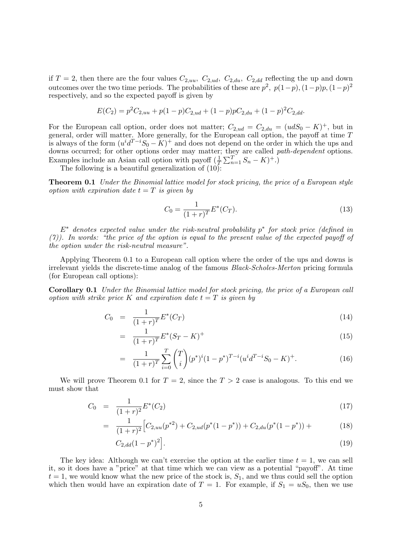if  $T = 2$ , then there are the four values  $C_{2,uu}$ ,  $C_{2,ud}$ ,  $C_{2,du}$ ,  $C_{2,dd}$  reflecting the up and down outcomes over the two time periods. The probabilities of these are  $p^2$ ,  $p(1-p)$ ,  $(1-p)p$ ,  $(1-p)^2$ respectively, and so the expected payoff is given by

$$
E(C_2) = p^2 C_{2,uu} + p(1-p)C_{2,ud} + (1-p)pC_{2,du} + (1-p)^2 C_{2,dd}.
$$

For the European call option, order does not matter;  $C_{2,ud} = C_{2,du} = (udS_0 - K)^+$ , but in general, order will matter. More generally, for the European call option, the payoff at time T is always of the form  $(u^{i}d^{T-i}S_0 - K)^+$  and does not depend on the order in which the ups and downs occurred; for other options order may matter; they are called path-dependent options. Examples include an Asian call option with payoff  $(\frac{1}{T} \sum_{n=1}^{T} S_n - K)^+$ .

The following is a beautiful generalization of (10):

**Theorem 0.1** Under the Binomial lattice model for stock pricing, the price of a European style option with expiration date  $t = T$  is given by

$$
C_0 = \frac{1}{(1+r)^T} E^*(C_T). \tag{13}
$$

 $E^*$  denotes expected value under the risk-neutral probability  $p^*$  for stock price (defined in (7)). In words: "the price of the option is equal to the present value of the expected payoff of the option under the risk-neutral measure".

Applying Theorem 0.1 to a European call option where the order of the ups and downs is irrelevant yields the discrete-time analog of the famous Black-Scholes-Merton pricing formula (for European call options):

Corollary 0.1 Under the Binomial lattice model for stock pricing, the price of a European call option with strike price K and expiration date  $t = T$  is given by

$$
C_0 = \frac{1}{(1+r)^T} E^*(C_T) \tag{14}
$$

$$
= \frac{1}{(1+r)^{T}} E^{*} (S_{T} - K)^{+}
$$
\n(15)

$$
= \frac{1}{(1+r)^T} \sum_{i=0}^T \binom{T}{i} (p^*)^i (1-p^*)^{T-i} (u^i d^{T-i} S_0 - K)^+.
$$
 (16)

We will prove Theorem 0.1 for  $T = 2$ , since the  $T > 2$  case is analogous. To this end we must show that

$$
C_0 = \frac{1}{(1+r)^2} E^*(C_2) \tag{17}
$$

$$
= \frac{1}{(1+r)^2} \Big[ C_{2,uu}(p^{*2}) + C_{2,ud}(p^*(1-p^*)) + C_{2,du}(p^*(1-p^*)) + \Big] \tag{18}
$$

$$
C_{2,dd}(1-p^*)^2\Big].\tag{19}
$$

The key idea: Although we can't exercise the option at the earlier time  $t = 1$ , we can sell it, so it does have a "price" at that time which we can view as a potential "payoff". At time  $t = 1$ , we would know what the new price of the stock is,  $S_1$ , and we thus could sell the option which then would have an expiration date of  $T = 1$ . For example, if  $S_1 = uS_0$ , then we use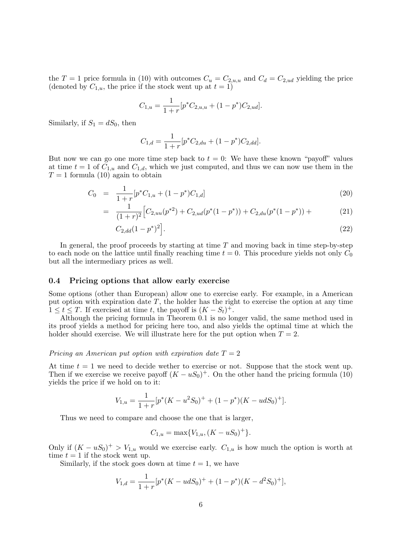the T = 1 price formula in (10) with outcomes  $C_u = C_{2,u,u}$  and  $C_d = C_{2,ud}$  yielding the price (denoted by  $C_{1,u}$ , the price if the stock went up at  $t = 1$ )

$$
C_{1,u} = \frac{1}{1+r} [p^* C_{2,u,u} + (1-p^*) C_{2,ud}].
$$

Similarly, if  $S_1 = dS_0$ , then

$$
C_{1,d} = \frac{1}{1+r} [p^* C_{2,du} + (1-p^*) C_{2,dd}].
$$

But now we can go one more time step back to  $t = 0$ : We have these known "payoff" values at time  $t = 1$  of  $C_{1,u}$  and  $C_{1,d}$ , which we just computed, and thus we can now use them in the  $T = 1$  formula (10) again to obtain

$$
C_0 = \frac{1}{1+r} [p^* C_{1,u} + (1-p^*) C_{1,d}] \tag{20}
$$

$$
= \frac{1}{(1+r)^2} \Big[ C_{2,uu}(p^{*2}) + C_{2,ud}(p^*(1-p^*)) + C_{2,du}(p^*(1-p^*)) + \Big] \tag{21}
$$

$$
C_{2,dd}(1-p^*)^2\Big].\tag{22}
$$

In general, the proof proceeds by starting at time  $T$  and moving back in time step-by-step to each node on the lattice until finally reaching time  $t = 0$ . This procedure yields not only  $C_0$ but all the intermediary prices as well.

### 0.4 Pricing options that allow early exercise

Some options (other than European) allow one to exercise early. For example, in a American put option with expiration date  $T$ , the holder has the right to exercise the option at any time  $1 \leq t \leq T$ . If exercised at time t, the payoff is  $(K - S_t)^+$ .

Although the pricing formula in Theorem 0.1 is no longer valid, the same method used in its proof yields a method for pricing here too, and also yields the optimal time at which the holder should exercise. We will illustrate here for the put option when  $T = 2$ .

### Pricing an American put option with expiration date  $T = 2$

At time  $t = 1$  we need to decide wether to exercise or not. Suppose that the stock went up. Then if we exercise we receive payoff  $(K - uS_0)^+$ . On the other hand the pricing formula (10) yields the price if we hold on to it:

$$
V_{1,u} = \frac{1}{1+r} [p^*(K - u^2 S_0)^+ + (1 - p^*)(K - u dS_0)^+].
$$

Thus we need to compare and choose the one that is larger,

$$
C_{1,u} = \max\{V_{1,u}, (K - uS_0)^+\}.
$$

Only if  $(K - uS_0)^+ > V_{1,u}$  would we exercise early.  $C_{1,u}$  is how much the option is worth at time  $t = 1$  if the stock went up.

Similarly, if the stock goes down at time  $t = 1$ , we have

$$
V_{1,d} = \frac{1}{1+r} [p^*(K - udS_0)^+ + (1-p^*)(K - d^2S_0)^+],
$$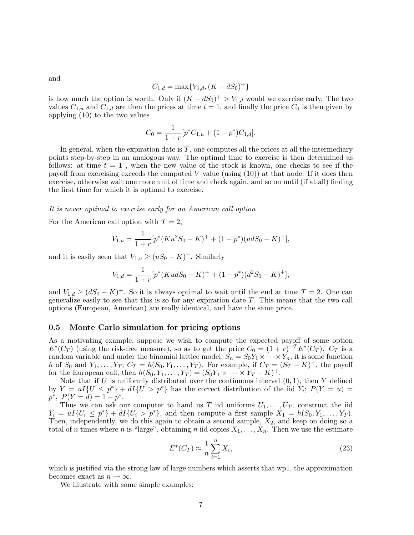$$
C_{1,d} = \max\{V_{1,d}, (K - dS_0)^+\}
$$

is how much the option is worth. Only if  $(K - dS_0)^+ > V_{1,d}$  would we exercise early. The two values  $C_{1,u}$  and  $C_{1,d}$  are then the prices at time  $t = 1$ , and finally the price  $C_0$  is then given by applying (10) to the two values

$$
C_0 = \frac{1}{1+r} [p^* C_{1,u} + (1-p^*) C_{1,d}].
$$

In general, when the expiration date is  $T$ , one computes all the prices at all the intermediary points step-by-step in an analogous way. The optimal time to exercise is then determined as follows: at time  $t = 1$ , when the new value of the stock is known, one checks to see if the payoff from exercising exceeds the computed V value (using  $(10)$ ) at that node. If it does then exercise, otherwise wait one more unit of time and check again, and so on until (if at all) finding the first time for which it is optimal to exercise.

#### It is never optimal to exercise early for an American call option

For the American call option with  $T = 2$ ,

$$
V_{1,u} = \frac{1}{1+r} [p^*(Ku^2S_0 - K)^+ + (1-p^*)(udS_0 - K)^+],
$$

and it is easily seen that  $V_{1,u} \ge (uS_0 - K)^+$ . Similarly

$$
V_{1,d} = \frac{1}{1+r} [p^*(KudS_0 - K)^+ + (1-p^*)(d^2S_0 - K)^+],
$$

and  $V_{1,d} \geq (dS_0 - K)^+$ . So it is always optimal to wait until the end at time  $T = 2$ . One can generalize easily to see that this is so for any expiration date T. This means that the two call options (European, American) are really identical, and have the same price.

### 0.5 Monte Carlo simulation for pricing options

As a motivating example, suppose we wish to compute the expected payoff of some option  $E^*(C_T)$  (using the risk-free measure), so as to get the price  $C_0 = (1+r)^{-T} E^*(C_T)$ .  $C_T$  is a random variable and under the binomial lattice model,  $S_n = S_0 Y_1 \times \cdots \times Y_n$ , it is some function h of  $S_0$  and  $Y_1, \ldots, Y_T$ ;  $C_T = h(S_0, Y_1, \ldots, Y_T)$ . For example, if  $C_T = (S_T - K)^+$ , the payoff for the European call, then  $h(S_0, Y_1, \ldots, Y_T) = (S_0 Y_1 \times \cdots \times Y_T - K)^+$ .

Note that if  $U$  is uniformly distributed over the continuous interval  $(0, 1)$ , then  $Y$  defined by  $Y = uI\{U \leq p^*\} + dI\{U > p^*\}$  has the correct distribution of the iid  $Y_i$ ;  $P(Y = u) =$  $p^*, P(Y = d) = 1 - p^*.$ 

Thus we can ask our computer to hand us T iid uniforms  $U_1, \ldots, U_T$ ; construct the iid  $Y_i = uI\{U_i \le p^*\} + dI\{U_i > p^*\},$  and then compute a first sample  $X_1 = h(S_0, Y_1, \ldots, Y_T)$ . Then, independently, we do this again to obtain a second sample,  $X_2$ , and keep on doing so a total of n times where n is "large", obtaining n iid copies  $X_1, \ldots, X_n$ . Then we use the estimate

$$
E^*(C_T) \approx \frac{1}{n} \sum_{i=1}^n X_i,
$$
\n(23)

which is justified via the strong law of large numbers which asserts that wp1, the approximation becomes exact as  $n \to \infty$ .

We illustrate with some simple examples:

7

and